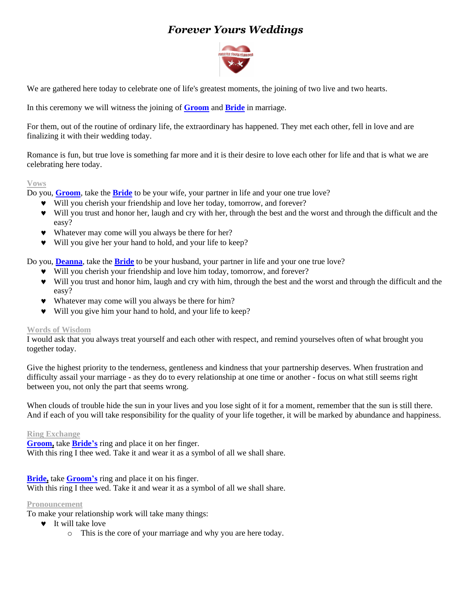# *Forever Yours Weddings*



We are gathered here today to celebrate one of life's greatest moments, the joining of two live and two hearts.

In this ceremony we will witness the joining of **Groom** and **Bride** in marriage.

For them, out of the routine of ordinary life, the extraordinary has happened. They met each other, fell in love and are finalizing it with their wedding today.

Romance is fun, but true love is something far more and it is their desire to love each other for life and that is what we are celebrating here today.

# **Vows**

Do you, **Groom**, take the **Bride** to be your wife, your partner in life and your one true love?

- Will you cherish your friendship and love her today, tomorrow, and forever?
- Will you trust and honor her, laugh and cry with her, through the best and the worst and through the difficult and the easy?
- Whatever may come will you always be there for her?
- Will you give her your hand to hold, and your life to keep?

Do you, **Deanna**, take the **Bride** to be your husband, your partner in life and your one true love?

- Will you cherish your friendship and love him today, tomorrow, and forever?
- Will you trust and honor him, laugh and cry with him, through the best and the worst and through the difficult and the easy?
- Whatever may come will you always be there for him?
- Will you give him your hand to hold, and your life to keep?

# **Words of Wisdom**

I would ask that you always treat yourself and each other with respect, and remind yourselves often of what brought you together today.

Give the highest priority to the tenderness, gentleness and kindness that your partnership deserves. When frustration and difficulty assail your marriage - as they do to every relationship at one time or another - focus on what still seems right between you, not only the part that seems wrong.

When clouds of trouble hide the sun in your lives and you lose sight of it for a moment, remember that the sun is still there. And if each of you will take responsibility for the quality of your life together, it will be marked by abundance and happiness.

#### **Ring Exchange**

**Groom,** take **Bride's** ring and place it on her finger. With this ring I thee wed. Take it and wear it as a symbol of all we shall share.

# **Bride,** take **Groom's** ring and place it on his finger.

With this ring I thee wed. Take it and wear it as a symbol of all we shall share.

# **Pronouncement**

To make your relationship work will take many things:

- $\bullet$  It will take love
	- o This is the core of your marriage and why you are here today.